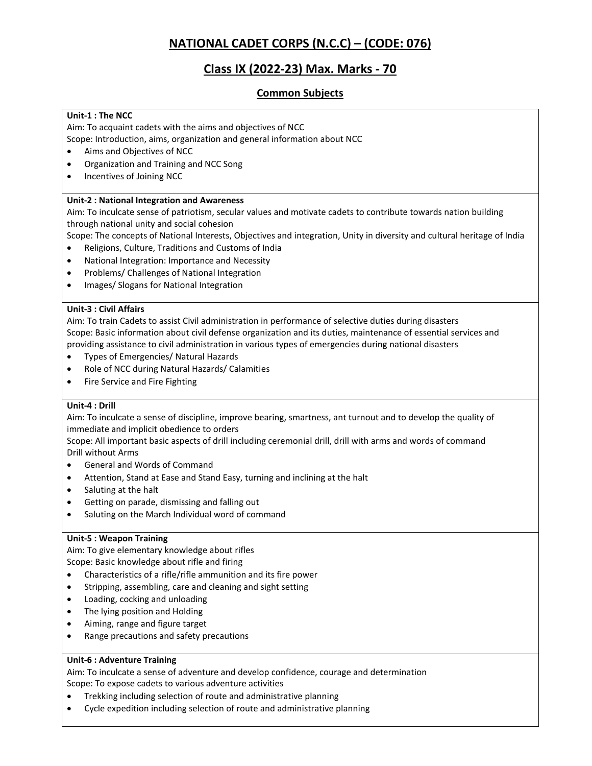# **NATIONAL CADET CORPS (N.C.C) – (CODE: 076)**

# **Class IX (2022-23) Max. Marks - 70**

# **Common Subjects**

# **Unit-1 : The NCC**

Aim: To acquaint cadets with the aims and objectives of NCC

Scope: Introduction, aims, organization and general information about NCC

- Aims and Objectives of NCC
- Organization and Training and NCC Song
- Incentives of Joining NCC

# **Unit-2 : National Integration and Awareness**

Aim: To inculcate sense of patriotism, secular values and motivate cadets to contribute towards nation building through national unity and social cohesion

Scope: The concepts of National Interests, Objectives and integration, Unity in diversity and cultural heritage of India

- Religions, Culture, Traditions and Customs of India
- National Integration: Importance and Necessity
- Problems/ Challenges of National Integration
- Images/ Slogans for National Integration

# **Unit-3 : Civil Affairs**

Aim: To train Cadets to assist Civil administration in performance of selective duties during disasters Scope: Basic information about civil defense organization and its duties, maintenance of essential services and providing assistance to civil administration in various types of emergencies during national disasters

- Types of Emergencies/ Natural Hazards
- Role of NCC during Natural Hazards/ Calamities
- Fire Service and Fire Fighting

# **Unit-4 : Drill**

Aim: To inculcate a sense of discipline, improve bearing, smartness, ant turnout and to develop the quality of immediate and implicit obedience to orders

Scope: All important basic aspects of drill including ceremonial drill, drill with arms and words of command Drill without Arms

- General and Words of Command
- Attention, Stand at Ease and Stand Easy, turning and inclining at the halt
- Saluting at the halt
- Getting on parade, dismissing and falling out
- Saluting on the March Individual word of command

### **Unit-5 : Weapon Training**

Aim: To give elementary knowledge about rifles Scope: Basic knowledge about rifle and firing

- Characteristics of a rifle/rifle ammunition and its fire power
- Stripping, assembling, care and cleaning and sight setting
- Loading, cocking and unloading
- The lying position and Holding
- Aiming, range and figure target
- Range precautions and safety precautions

# **Unit-6 : Adventure Training**

Aim: To inculcate a sense of adventure and develop confidence, courage and determination Scope: To expose cadets to various adventure activities

- Trekking including selection of route and administrative planning
- Cycle expedition including selection of route and administrative planning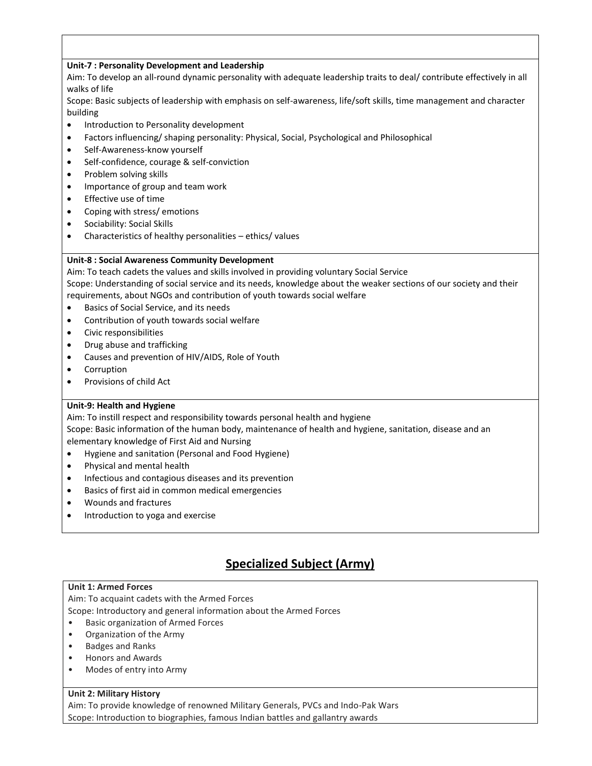# **Unit-7 : Personality Development and Leadership**

Aim: To develop an all-round dynamic personality with adequate leadership traits to deal/ contribute effectively in all walks of life

Scope: Basic subjects of leadership with emphasis on self-awareness, life/soft skills, time management and character building

- Introduction to Personality development
- Factors influencing/ shaping personality: Physical, Social, Psychological and Philosophical
- Self-Awareness-know yourself
- Self-confidence, courage & self-conviction
- Problem solving skills
- Importance of group and team work
- Effective use of time
- Coping with stress/ emotions
- Sociability: Social Skills
- Characteristics of healthy personalities ethics/ values

# **Unit-8 : Social Awareness Community Development**

Aim: To teach cadets the values and skills involved in providing voluntary Social Service Scope: Understanding of social service and its needs, knowledge about the weaker sections of our society and their requirements, about NGOs and contribution of youth towards social welfare

- Basics of Social Service, and its needs
- Contribution of youth towards social welfare
- Civic responsibilities
- Drug abuse and trafficking
- Causes and prevention of HIV/AIDS, Role of Youth
- Corruption
- Provisions of child Act

# **Unit-9: Health and Hygiene**

Aim: To instill respect and responsibility towards personal health and hygiene

Scope: Basic information of the human body, maintenance of health and hygiene, sanitation, disease and an elementary knowledge of First Aid and Nursing

- Hygiene and sanitation (Personal and Food Hygiene)
- Physical and mental health
- Infectious and contagious diseases and its prevention
- Basics of first aid in common medical emergencies
- Wounds and fractures
- Introduction to yoga and exercise

# **Specialized Subject (Army)**

# **Unit 1: Armed Forces**

Aim: To acquaint cadets with the Armed Forces

Scope: Introductory and general information about the Armed Forces

- Basic organization of Armed Forces
- Organization of the Army
- Badges and Ranks
- Honors and Awards
- Modes of entry into Army

# **Unit 2: Military History**

Aim: To provide knowledge of renowned Military Generals, PVCs and Indo-Pak Wars Scope: Introduction to biographies, famous Indian battles and gallantry awards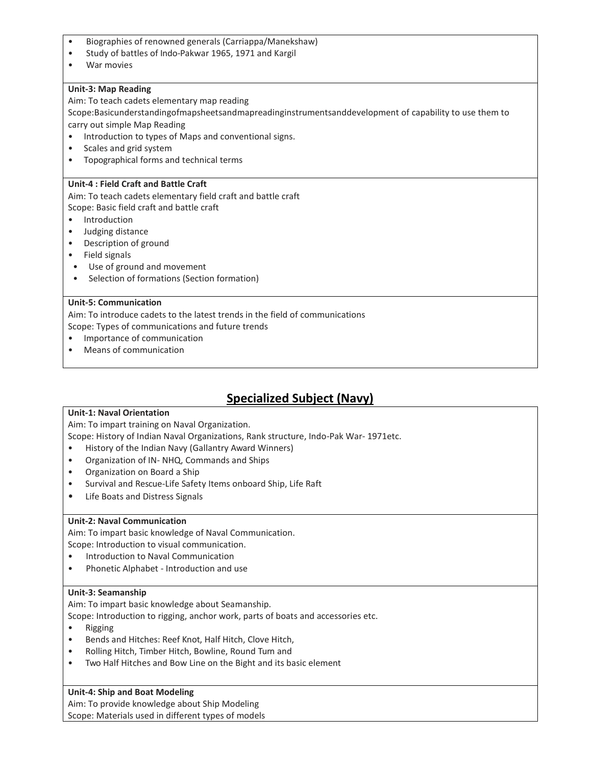- Biographies of renowned generals (Carriappa/Manekshaw)
- Study of battles of Indo-Pakwar 1965, 1971 and Kargil
- War movies

### **Unit-3: Map Reading**

Aim: To teach cadets elementary map reading

Scope:Basicunderstandingofmapsheetsandmapreadinginstrumentsanddevelopment of capability to use them to carry out simple Map Reading

- Introduction to types of Maps and conventional signs.
- Scales and grid system
- Topographical forms and technical terms

### **Unit-4 : Field Craft and Battle Craft**

Aim: To teach cadets elementary field craft and battle craft

Scope: Basic field craft and battle craft

- Introduction
- Judging distance
- Description of ground
- Field signals
- Use of ground and movement
- Selection of formations (Section formation)

### **Unit-5: Communication**

Aim: To introduce cadets to the latest trends in the field of communications Scope: Types of communications and future trends

- Importance of communication
- Means of communication

# **Specialized Subject (Navy)**

# **Unit-1: Naval Orientation**

Aim: To impart training on Naval Organization.

Scope: History of Indian Naval Organizations, Rank structure, Indo-Pak War- 1971etc.

- History of the Indian Navy (Gallantry Award Winners)
- Organization of IN- NHQ, Commands and Ships
- Organization on Board a Ship
- Survival and Rescue-Life Safety Items onboard Ship, Life Raft
- Life Boats and Distress Signals

# **Unit-2: Naval Communication**

Aim: To impart basic knowledge of Naval Communication.

Scope: Introduction to visual communication.

- Introduction to Naval Communication
- Phonetic Alphabet Introduction and use

# **Unit-3: Seamanship**

Aim: To impart basic knowledge about Seamanship.

Scope: Introduction to rigging, anchor work, parts of boats and accessories etc.

- Rigging
- Bends and Hitches: Reef Knot, Half Hitch, Clove Hitch,
- Rolling Hitch, Timber Hitch, Bowline, Round Turn and
- Two Half Hitches and Bow Line on the Bight and its basic element

# **Unit-4: Ship and Boat Modeling**

Aim: To provide knowledge about Ship Modeling Scope: Materials used in different types of models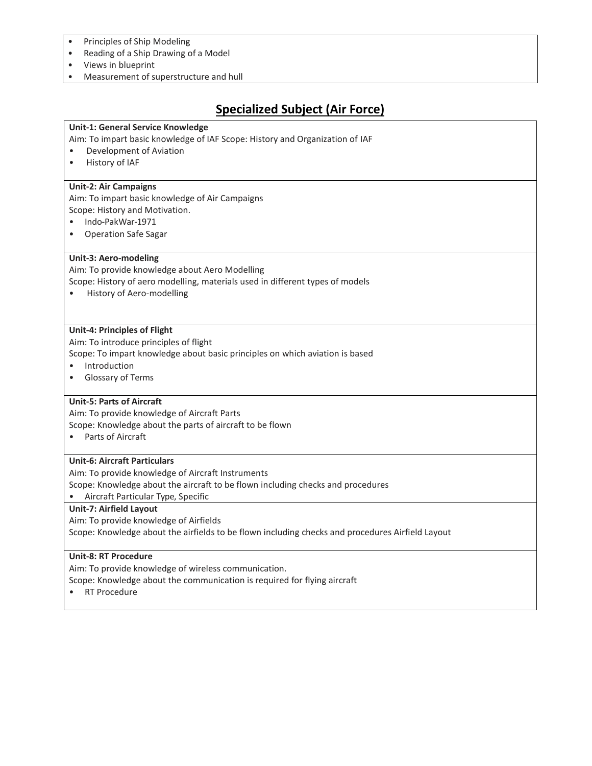- Principles of Ship Modeling
- Reading of a Ship Drawing of a Model
- Views in blueprint
- Measurement of superstructure and hull

# **Specialized Subject (Air Force)**

# **Unit-1: General Service Knowledge**

- Aim: To impart basic knowledge of IAF Scope: History and Organization of IAF
- Development of Aviation
- History of IAF

### **Unit-2: Air Campaigns**

Aim: To impart basic knowledge of Air Campaigns Scope: History and Motivation.

- Indo-PakWar-1971
- Operation Safe Sagar

### **Unit-3: Aero-modeling**

Aim: To provide knowledge about Aero Modelling

Scope: History of aero modelling, materials used in different types of models

• History of Aero-modelling

### **Unit-4: Principles of Flight**

Aim: To introduce principles of flight

Scope: To impart knowledge about basic principles on which aviation is based

- Introduction
- Glossary of Terms

# **Unit-5: Parts of Aircraft**

Aim: To provide knowledge of Aircraft Parts

Scope: Knowledge about the parts of aircraft to be flown

• Parts of Aircraft

### **Unit-6: Aircraft Particulars**

Aim: To provide knowledge of Aircraft Instruments

Scope: Knowledge about the aircraft to be flown including checks and procedures

• Aircraft Particular Type, Specific

### **Unit-7: Airfield Layout**

Aim: To provide knowledge of Airfields

Scope: Knowledge about the airfields to be flown including checks and procedures Airfield Layout

### **Unit-8: RT Procedure**

Aim: To provide knowledge of wireless communication.

Scope: Knowledge about the communication is required for flying aircraft

• RT Procedure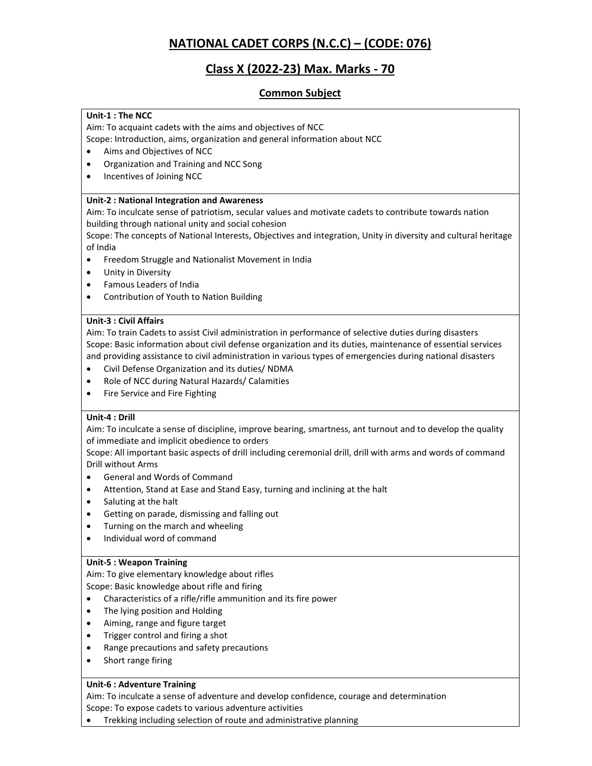# **NATIONAL CADET CORPS (N.C.C) – (CODE: 076)**

# **Class X (2022-23) Max. Marks - 70**

# **Common Subject**

# **Unit-1 : The NCC**

Aim: To acquaint cadets with the aims and objectives of NCC

Scope: Introduction, aims, organization and general information about NCC

- Aims and Objectives of NCC
- Organization and Training and NCC Song
- Incentives of Joining NCC

# **Unit-2 : National Integration and Awareness**

Aim: To inculcate sense of patriotism, secular values and motivate cadets to contribute towards nation building through national unity and social cohesion

Scope: The concepts of National Interests, Objectives and integration, Unity in diversity and cultural heritage of India

- **•** Freedom Struggle and Nationalist Movement in India
- Unity in Diversity
- Famous Leaders of India
- Contribution of Youth to Nation Building

# **Unit-3 : Civil Affairs**

Aim: To train Cadets to assist Civil administration in performance of selective duties during disasters Scope: Basic information about civil defense organization and its duties, maintenance of essential services and providing assistance to civil administration in various types of emergencies during national disasters

- Civil Defense Organization and its duties/ NDMA
- Role of NCC during Natural Hazards/ Calamities
- Fire Service and Fire Fighting

# **Unit-4 : Drill**

Aim: To inculcate a sense of discipline, improve bearing, smartness, ant turnout and to develop the quality of immediate and implicit obedience to orders

Scope: All important basic aspects of drill including ceremonial drill, drill with arms and words of command Drill without Arms

- General and Words of Command
- Attention, Stand at Ease and Stand Easy, turning and inclining at the halt
- Saluting at the halt
- Getting on parade, dismissing and falling out
- Turning on the march and wheeling
- Individual word of command

# **Unit-5 : Weapon Training**

Aim: To give elementary knowledge about rifles

Scope: Basic knowledge about rifle and firing

- Characteristics of a rifle/rifle ammunition and its fire power
- The lying position and Holding
- Aiming, range and figure target
- Trigger control and firing a shot
- Range precautions and safety precautions
- Short range firing

# **Unit-6 : Adventure Training**

Aim: To inculcate a sense of adventure and develop confidence, courage and determination Scope: To expose cadets to various adventure activities

Trekking including selection of route and administrative planning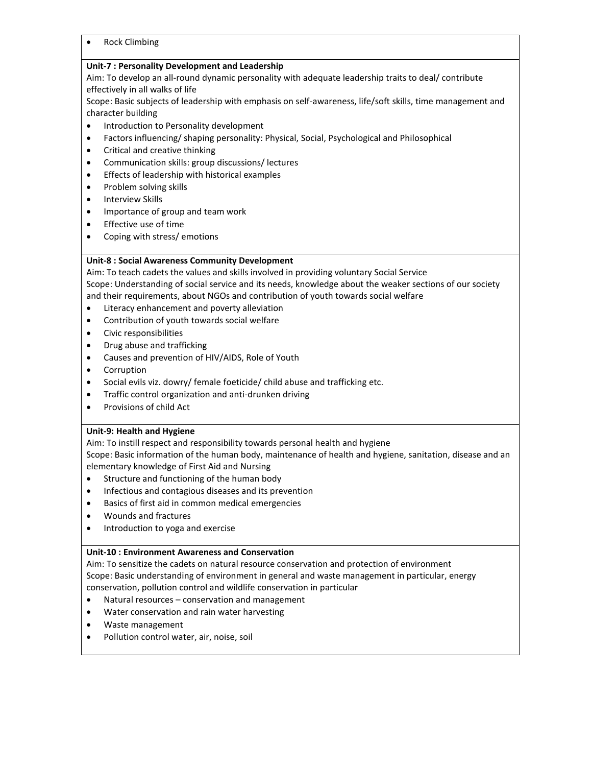• Rock Climbing

# **Unit-7 : Personality Development and Leadership**

Aim: To develop an all-round dynamic personality with adequate leadership traits to deal/ contribute effectively in all walks of life

Scope: Basic subjects of leadership with emphasis on self-awareness, life/soft skills, time management and character building

- **•** Introduction to Personality development
- Factors influencing/ shaping personality: Physical, Social, Psychological and Philosophical
- Critical and creative thinking
- Communication skills: group discussions/ lectures
- Effects of leadership with historical examples
- Problem solving skills
- **•** Interview Skills
- Importance of group and team work
- Effective use of time
- Coping with stress/emotions

# **Unit-8 : Social Awareness Community Development**

Aim: To teach cadets the values and skills involved in providing voluntary Social Service Scope: Understanding of social service and its needs, knowledge about the weaker sections of our society and their requirements, about NGOs and contribution of youth towards social welfare

- Literacy enhancement and poverty alleviation
- Contribution of youth towards social welfare
- Civic responsibilities
- Drug abuse and trafficking
- Causes and prevention of HIV/AIDS, Role of Youth
- Corruption
- Social evils viz. dowry/ female foeticide/ child abuse and trafficking etc.
- Traffic control organization and anti-drunken driving
- Provisions of child Act

# **Unit-9: Health and Hygiene**

Aim: To instill respect and responsibility towards personal health and hygiene

Scope: Basic information of the human body, maintenance of health and hygiene, sanitation, disease and an elementary knowledge of First Aid and Nursing

- Structure and functioning of the human body
- **•** Infectious and contagious diseases and its prevention
- Basics of first aid in common medical emergencies
- Wounds and fractures
- Introduction to yoga and exercise

# **Unit-10 : Environment Awareness and Conservation**

Aim: To sensitize the cadets on natural resource conservation and protection of environment Scope: Basic understanding of environment in general and waste management in particular, energy conservation, pollution control and wildlife conservation in particular

- Natural resources conservation and management
- Water conservation and rain water harvesting
- Waste management
- Pollution control water, air, noise, soil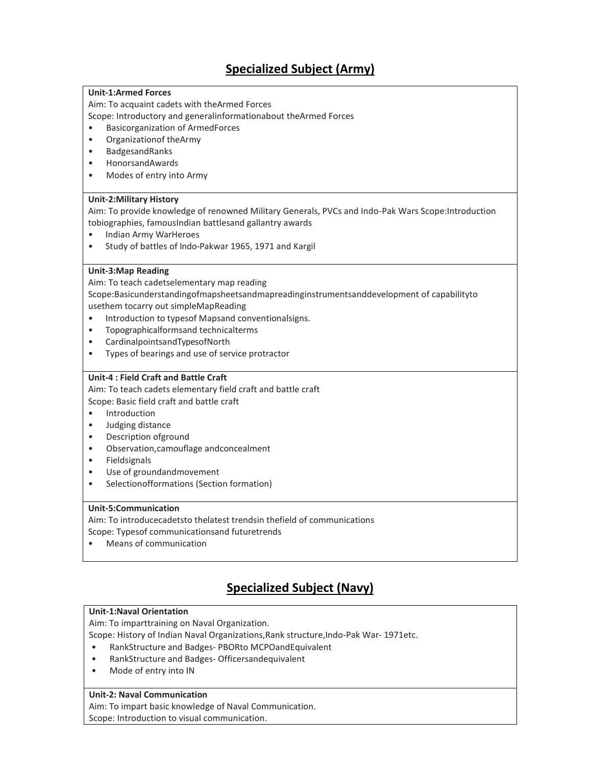# **Specialized Subject (Army)**

# **Unit-1:Armed Forces**

Aim: To acquaint cadets with theArmed Forces

Scope: Introductory and generalinformationabout theArmed Forces

- Basicorganization of ArmedForces
- Organizationof theArmy
- BadgesandRanks
- HonorsandAwards
- Modes of entry into Army

# **Unit-2:Military History**

Aim: To provide knowledge of renowned Military Generals, PVCs and Indo-Pak Wars Scope:Introduction tobiographies, famousIndian battlesand gallantry awards

- Indian Army WarHeroes
- Study of battles of Indo-Pakwar 1965, 1971 and Kargil

# **Unit-3:Map Reading**

Aim: To teach cadetselementary map reading

Scope:Basicunderstandingofmapsheetsandmapreadinginstrumentsanddevelopment of capabilityto usethem tocarry out simpleMapReading

- Introduction to typesof Mapsand conventionalsigns.
- Topographicalformsand technicalterms
- CardinalpointsandTypesofNorth
- Types of bearings and use of service protractor

# **Unit-4 : Field Craft and Battle Craft**

Aim: To teach cadets elementary field craft and battle craft

Scope: Basic field craft and battle craft

- Introduction
- Judging distance
- Description ofground
- Observation,camouflage andconcealment
- Fieldsignals
- Use of groundandmovement
- Selectionofformations (Section formation)

# **Unit-5:Communication**

Aim: To introducecadetsto thelatest trendsin thefield of communications

Scope: Typesof communicationsand futuretrends

• Means of communication

# **Specialized Subject (Navy)**

# **Unit-1:Naval Orientation**

Aim: To imparttraining on Naval Organization.

Scope: History of Indian Naval Organizations,Rank structure,Indo-Pak War- 1971etc.

- RankStructure and Badges- PBORto MCPOandEquivalent
- RankStructure and Badges- Officersandequivalent
- Mode of entry into IN

# **Unit-2: Naval Communication**

Aim: To impart basic knowledge of Naval Communication.

Scope: Introduction to visual communication.